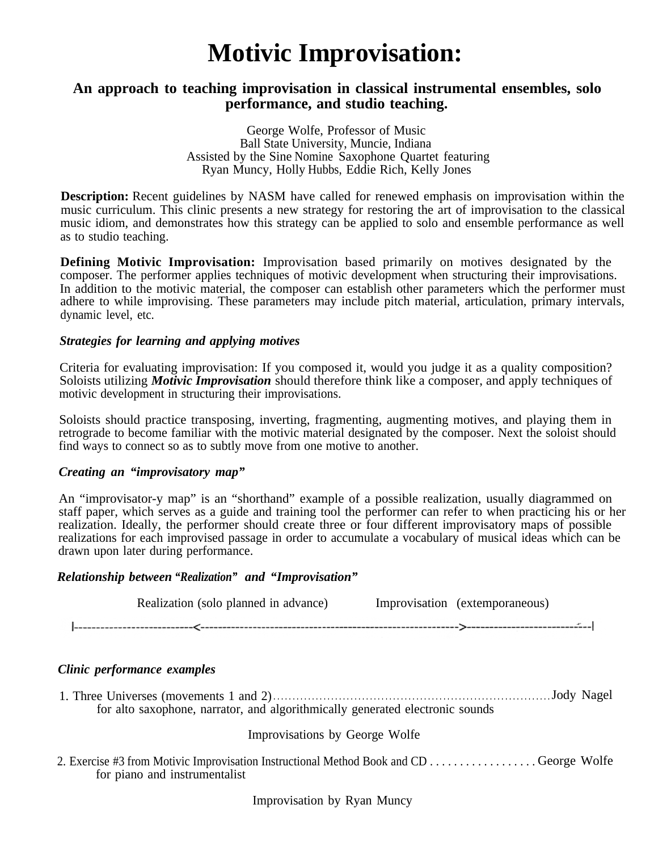# **Motivic Improvisation:**

### **An approach to teaching improvisation in classical instrumental ensembles, solo performance, and studio teaching.**

George Wolfe, Professor of Music Ball State University, Muncie, Indiana Assisted by the Sine Nomine Saxophone Quartet featuring Ryan Muncy, Holly Hubbs, Eddie Rich, Kelly Jones

**Description:** Recent guidelines by NASM have called for renewed emphasis on improvisation within the music curriculum. This clinic presents a new strategy for restoring the art of improvisation to the classical music idiom, and demonstrates how this strategy can be applied to solo and ensemble performance as well as to studio teaching.

**Defining Motivic Improvisation:** Improvisation based primarily on motives designated by the composer. The performer applies techniques of motivic development when structuring their improvisations. In addition to the motivic material, the composer can establish other parameters which the performer must adhere to while improvising. These parameters may include pitch material, articulation, primary intervals, dynamic level, etc.

#### *Strategies for learning and applying motives*

Criteria for evaluating improvisation: If you composed it, would you judge it as a quality composition? Soloists utilizing *Motivic Improvisation* should therefore think like a composer, and apply techniques of motivic development in structuring their improvisations.

Soloists should practice transposing, inverting, fragmenting, augmenting motives, and playing them in retrograde to become familiar with the motivic material designated by the composer. Next the soloist should find ways to connect so as to subtly move from one motive to another.

#### *Creating an "improvisatory map"*

An "improvisator-y map" is an "shorthand" example of a possible realization, usually diagrammed on staff paper, which serves as a guide and training tool the performer can refer to when practicing his or her realization. Ideally, the performer should create three or four different improvisatory maps of possible realizations for each improvised passage in order to accumulate a vocabulary of musical ideas which can be drawn upon later during performance.

#### *Relationship between "Realization" and "Improvisation"*

| Realization (solo planned in advance) | Improvisation (extemporaneous) |  |
|---------------------------------------|--------------------------------|--|
|                                       |                                |  |

#### *Clinic performance examples*

1. Three Universes (movements 1 and 2). . . . . . . . . . . . . . . . . . . . . . . . . . . . . . . . . . . . . . . . . . . . . . . . . . . . . . . . . . . . . . . . . . . . . . . . Jody Nagel for alto saxophone, narrator, and algorithmically generated electronic sounds

#### Improvisations by George Wolfe

2. Exercise #3 from Motivic Improvisation Instructional Method Book and CD . . . . . . . . . . . . . . . . . . George Wolfe for piano and instrumentalist

Improvisation by Ryan Muncy